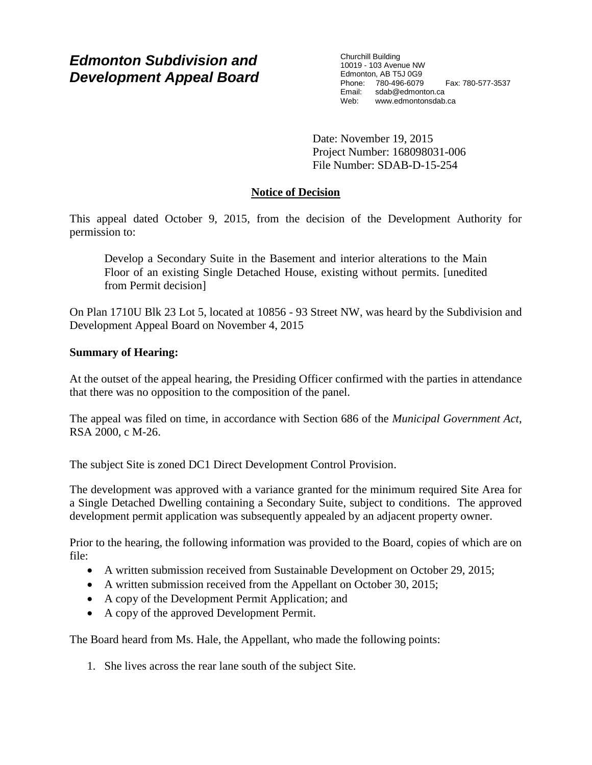# *Edmonton Subdivision and Development Appeal Board*

Churchill Building 10019 - 103 Avenue NW Edmonton, AB T5J 0G9 Phone: 780-496-6079 Fax: 780-577-3537 Email: sdab@edmonton.ca<br>Web: www.edmontonsdab www.edmontonsdab.ca

Date: November 19, 2015 Project Number: 168098031-006 File Number: SDAB-D-15-254

## **Notice of Decision**

This appeal dated October 9, 2015, from the decision of the Development Authority for permission to:

Develop a Secondary Suite in the Basement and interior alterations to the Main Floor of an existing Single Detached House, existing without permits. [unedited from Permit decision]

On Plan 1710U Blk 23 Lot 5, located at 10856 - 93 Street NW, was heard by the Subdivision and Development Appeal Board on November 4, 2015

## **Summary of Hearing:**

At the outset of the appeal hearing, the Presiding Officer confirmed with the parties in attendance that there was no opposition to the composition of the panel.

The appeal was filed on time, in accordance with Section 686 of the *Municipal Government Act*, RSA 2000, c M-26.

The subject Site is zoned DC1 Direct Development Control Provision.

The development was approved with a variance granted for the minimum required Site Area for a Single Detached Dwelling containing a Secondary Suite, subject to conditions. The approved development permit application was subsequently appealed by an adjacent property owner.

Prior to the hearing, the following information was provided to the Board, copies of which are on file:

- A written submission received from Sustainable Development on October 29, 2015;
- A written submission received from the Appellant on October 30, 2015;
- A copy of the Development Permit Application; and
- A copy of the approved Development Permit.

The Board heard from Ms. Hale, the Appellant, who made the following points:

1. She lives across the rear lane south of the subject Site.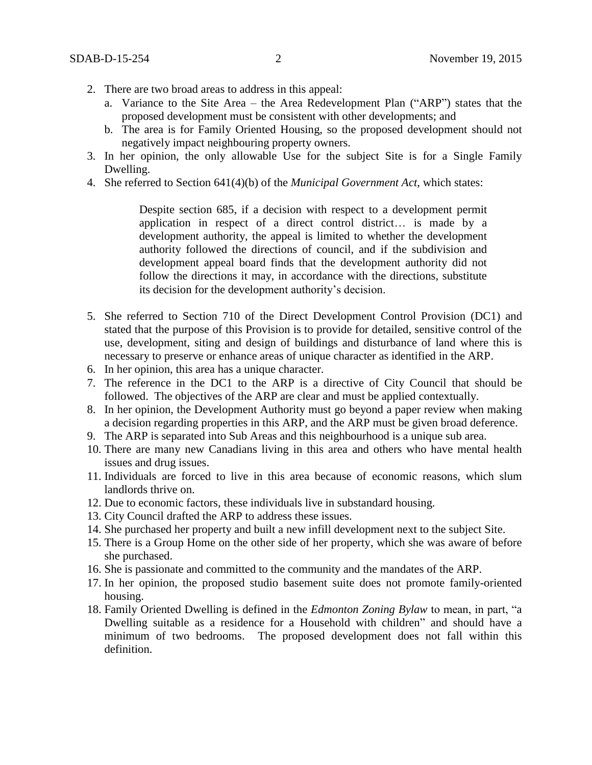- 2. There are two broad areas to address in this appeal:
	- a. Variance to the Site Area the Area Redevelopment Plan ("ARP") states that the proposed development must be consistent with other developments; and
	- b. The area is for Family Oriented Housing, so the proposed development should not negatively impact neighbouring property owners.
- 3. In her opinion, the only allowable Use for the subject Site is for a Single Family Dwelling.
- 4. She referred to Section 641(4)(b) of the *Municipal Government Act*, which states:

Despite section 685, if a decision with respect to a development permit application in respect of a direct control district… is made by a development authority, the appeal is limited to whether the development authority followed the directions of council, and if the subdivision and development appeal board finds that the development authority did not follow the directions it may, in accordance with the directions, substitute its decision for the development authority's decision.

- 5. She referred to Section 710 of the Direct Development Control Provision (DC1) and stated that the purpose of this Provision is to provide for detailed, sensitive control of the use, development, siting and design of buildings and disturbance of land where this is necessary to preserve or enhance areas of unique character as identified in the ARP.
- 6. In her opinion, this area has a unique character.
- 7. The reference in the DC1 to the ARP is a directive of City Council that should be followed. The objectives of the ARP are clear and must be applied contextually.
- 8. In her opinion, the Development Authority must go beyond a paper review when making a decision regarding properties in this ARP, and the ARP must be given broad deference.
- 9. The ARP is separated into Sub Areas and this neighbourhood is a unique sub area.
- 10. There are many new Canadians living in this area and others who have mental health issues and drug issues.
- 11. Individuals are forced to live in this area because of economic reasons, which slum landlords thrive on.
- 12. Due to economic factors, these individuals live in substandard housing.
- 13. City Council drafted the ARP to address these issues.
- 14. She purchased her property and built a new infill development next to the subject Site.
- 15. There is a Group Home on the other side of her property, which she was aware of before she purchased.
- 16. She is passionate and committed to the community and the mandates of the ARP.
- 17. In her opinion, the proposed studio basement suite does not promote family-oriented housing.
- 18. Family Oriented Dwelling is defined in the *Edmonton Zoning Bylaw* to mean, in part, "a Dwelling suitable as a residence for a Household with children" and should have a minimum of two bedrooms. The proposed development does not fall within this definition.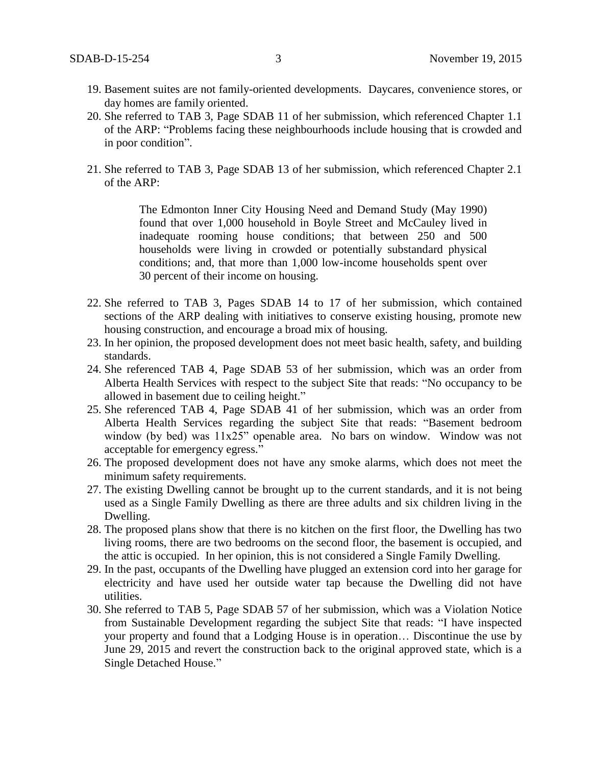- 19. Basement suites are not family-oriented developments. Daycares, convenience stores, or day homes are family oriented.
- 20. She referred to TAB 3, Page SDAB 11 of her submission, which referenced Chapter 1.1 of the ARP: "Problems facing these neighbourhoods include housing that is crowded and in poor condition".
- 21. She referred to TAB 3, Page SDAB 13 of her submission, which referenced Chapter 2.1 of the ARP:

The Edmonton Inner City Housing Need and Demand Study (May 1990) found that over 1,000 household in Boyle Street and McCauley lived in inadequate rooming house conditions; that between 250 and 500 households were living in crowded or potentially substandard physical conditions; and, that more than 1,000 low-income households spent over 30 percent of their income on housing.

- 22. She referred to TAB 3, Pages SDAB 14 to 17 of her submission, which contained sections of the ARP dealing with initiatives to conserve existing housing, promote new housing construction, and encourage a broad mix of housing.
- 23. In her opinion, the proposed development does not meet basic health, safety, and building standards.
- 24. She referenced TAB 4, Page SDAB 53 of her submission, which was an order from Alberta Health Services with respect to the subject Site that reads: "No occupancy to be allowed in basement due to ceiling height."
- 25. She referenced TAB 4, Page SDAB 41 of her submission, which was an order from Alberta Health Services regarding the subject Site that reads: "Basement bedroom window (by bed) was  $11x25$ " openable area. No bars on window. Window was not acceptable for emergency egress."
- 26. The proposed development does not have any smoke alarms, which does not meet the minimum safety requirements.
- 27. The existing Dwelling cannot be brought up to the current standards, and it is not being used as a Single Family Dwelling as there are three adults and six children living in the Dwelling.
- 28. The proposed plans show that there is no kitchen on the first floor, the Dwelling has two living rooms, there are two bedrooms on the second floor, the basement is occupied, and the attic is occupied. In her opinion, this is not considered a Single Family Dwelling.
- 29. In the past, occupants of the Dwelling have plugged an extension cord into her garage for electricity and have used her outside water tap because the Dwelling did not have utilities.
- 30. She referred to TAB 5, Page SDAB 57 of her submission, which was a Violation Notice from Sustainable Development regarding the subject Site that reads: "I have inspected your property and found that a Lodging House is in operation… Discontinue the use by June 29, 2015 and revert the construction back to the original approved state, which is a Single Detached House."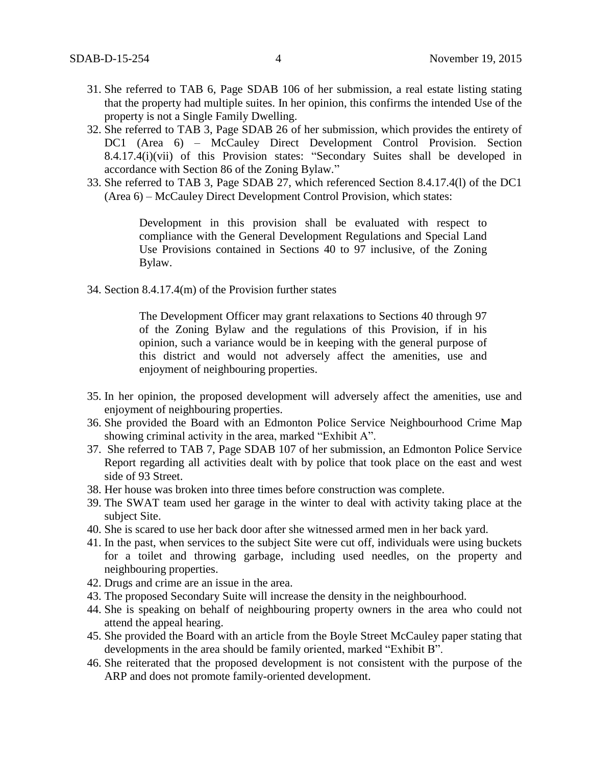- 31. She referred to TAB 6, Page SDAB 106 of her submission, a real estate listing stating that the property had multiple suites. In her opinion, this confirms the intended Use of the property is not a Single Family Dwelling.
- 32. She referred to TAB 3, Page SDAB 26 of her submission, which provides the entirety of DC1 (Area 6) – McCauley Direct Development Control Provision. Section 8.4.17.4(i)(vii) of this Provision states: "Secondary Suites shall be developed in accordance with Section 86 of the Zoning Bylaw."
- 33. She referred to TAB 3, Page SDAB 27, which referenced Section 8.4.17.4(l) of the DC1 (Area 6) – McCauley Direct Development Control Provision, which states:

Development in this provision shall be evaluated with respect to compliance with the General Development Regulations and Special Land Use Provisions contained in Sections 40 to 97 inclusive, of the Zoning Bylaw.

34. Section 8.4.17.4(m) of the Provision further states

The Development Officer may grant relaxations to Sections 40 through 97 of the Zoning Bylaw and the regulations of this Provision, if in his opinion, such a variance would be in keeping with the general purpose of this district and would not adversely affect the amenities, use and enjoyment of neighbouring properties.

- 35. In her opinion, the proposed development will adversely affect the amenities, use and enjoyment of neighbouring properties.
- 36. She provided the Board with an Edmonton Police Service Neighbourhood Crime Map showing criminal activity in the area, marked "Exhibit A".
- 37. She referred to TAB 7, Page SDAB 107 of her submission, an Edmonton Police Service Report regarding all activities dealt with by police that took place on the east and west side of 93 Street.
- 38. Her house was broken into three times before construction was complete.
- 39. The SWAT team used her garage in the winter to deal with activity taking place at the subject Site.
- 40. She is scared to use her back door after she witnessed armed men in her back yard.
- 41. In the past, when services to the subject Site were cut off, individuals were using buckets for a toilet and throwing garbage, including used needles, on the property and neighbouring properties.
- 42. Drugs and crime are an issue in the area.
- 43. The proposed Secondary Suite will increase the density in the neighbourhood.
- 44. She is speaking on behalf of neighbouring property owners in the area who could not attend the appeal hearing.
- 45. She provided the Board with an article from the Boyle Street McCauley paper stating that developments in the area should be family oriented, marked "Exhibit B".
- 46. She reiterated that the proposed development is not consistent with the purpose of the ARP and does not promote family-oriented development.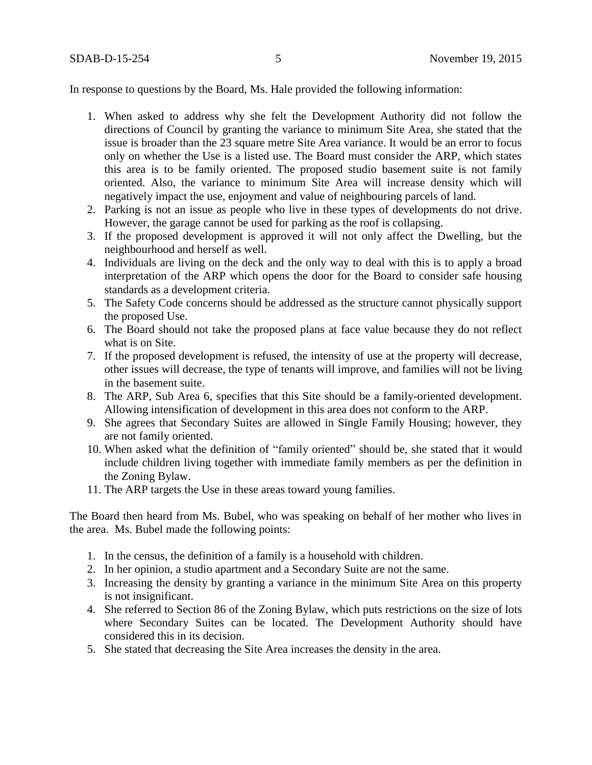In response to questions by the Board, Ms. Hale provided the following information:

- 1. When asked to address why she felt the Development Authority did not follow the directions of Council by granting the variance to minimum Site Area, she stated that the issue is broader than the 23 square metre Site Area variance. It would be an error to focus only on whether the Use is a listed use. The Board must consider the ARP, which states this area is to be family oriented. The proposed studio basement suite is not family oriented. Also, the variance to minimum Site Area will increase density which will negatively impact the use, enjoyment and value of neighbouring parcels of land.
- 2. Parking is not an issue as people who live in these types of developments do not drive. However, the garage cannot be used for parking as the roof is collapsing.
- 3. If the proposed development is approved it will not only affect the Dwelling, but the neighbourhood and herself as well.
- 4. Individuals are living on the deck and the only way to deal with this is to apply a broad interpretation of the ARP which opens the door for the Board to consider safe housing standards as a development criteria.
- 5. The Safety Code concerns should be addressed as the structure cannot physically support the proposed Use.
- 6. The Board should not take the proposed plans at face value because they do not reflect what is on Site.
- 7. If the proposed development is refused, the intensity of use at the property will decrease, other issues will decrease, the type of tenants will improve, and families will not be living in the basement suite.
- 8. The ARP, Sub Area 6, specifies that this Site should be a family-oriented development. Allowing intensification of development in this area does not conform to the ARP.
- 9. She agrees that Secondary Suites are allowed in Single Family Housing; however, they are not family oriented.
- 10. When asked what the definition of "family oriented" should be, she stated that it would include children living together with immediate family members as per the definition in the Zoning Bylaw.
- 11. The ARP targets the Use in these areas toward young families.

The Board then heard from Ms. Bubel, who was speaking on behalf of her mother who lives in the area. Ms. Bubel made the following points:

- 1. In the census, the definition of a family is a household with children.
- 2. In her opinion, a studio apartment and a Secondary Suite are not the same.
- 3. Increasing the density by granting a variance in the minimum Site Area on this property is not insignificant.
- 4. She referred to Section 86 of the Zoning Bylaw, which puts restrictions on the size of lots where Secondary Suites can be located. The Development Authority should have considered this in its decision.
- 5. She stated that decreasing the Site Area increases the density in the area.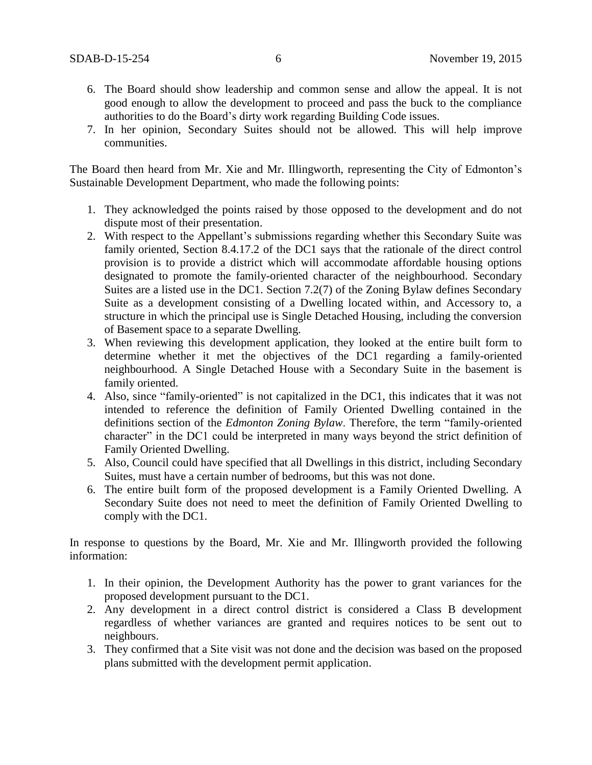- 6. The Board should show leadership and common sense and allow the appeal. It is not good enough to allow the development to proceed and pass the buck to the compliance authorities to do the Board's dirty work regarding Building Code issues.
- 7. In her opinion, Secondary Suites should not be allowed. This will help improve communities.

The Board then heard from Mr. Xie and Mr. Illingworth, representing the City of Edmonton's Sustainable Development Department, who made the following points:

- 1. They acknowledged the points raised by those opposed to the development and do not dispute most of their presentation.
- 2. With respect to the Appellant's submissions regarding whether this Secondary Suite was family oriented, Section 8.4.17.2 of the DC1 says that the rationale of the direct control provision is to provide a district which will accommodate affordable housing options designated to promote the family-oriented character of the neighbourhood. Secondary Suites are a listed use in the DC1. Section 7.2(7) of the Zoning Bylaw defines Secondary Suite as a development consisting of a Dwelling located within, and Accessory to, a structure in which the principal use is Single Detached Housing, including the conversion of Basement space to a separate Dwelling.
- 3. When reviewing this development application, they looked at the entire built form to determine whether it met the objectives of the DC1 regarding a family-oriented neighbourhood. A Single Detached House with a Secondary Suite in the basement is family oriented.
- 4. Also, since "family-oriented" is not capitalized in the DC1, this indicates that it was not intended to reference the definition of Family Oriented Dwelling contained in the definitions section of the *Edmonton Zoning Bylaw*. Therefore, the term "family-oriented character" in the DC1 could be interpreted in many ways beyond the strict definition of Family Oriented Dwelling.
- 5. Also, Council could have specified that all Dwellings in this district, including Secondary Suites, must have a certain number of bedrooms, but this was not done.
- 6. The entire built form of the proposed development is a Family Oriented Dwelling. A Secondary Suite does not need to meet the definition of Family Oriented Dwelling to comply with the DC1.

In response to questions by the Board, Mr. Xie and Mr. Illingworth provided the following information:

- 1. In their opinion, the Development Authority has the power to grant variances for the proposed development pursuant to the DC1.
- 2. Any development in a direct control district is considered a Class B development regardless of whether variances are granted and requires notices to be sent out to neighbours.
- 3. They confirmed that a Site visit was not done and the decision was based on the proposed plans submitted with the development permit application.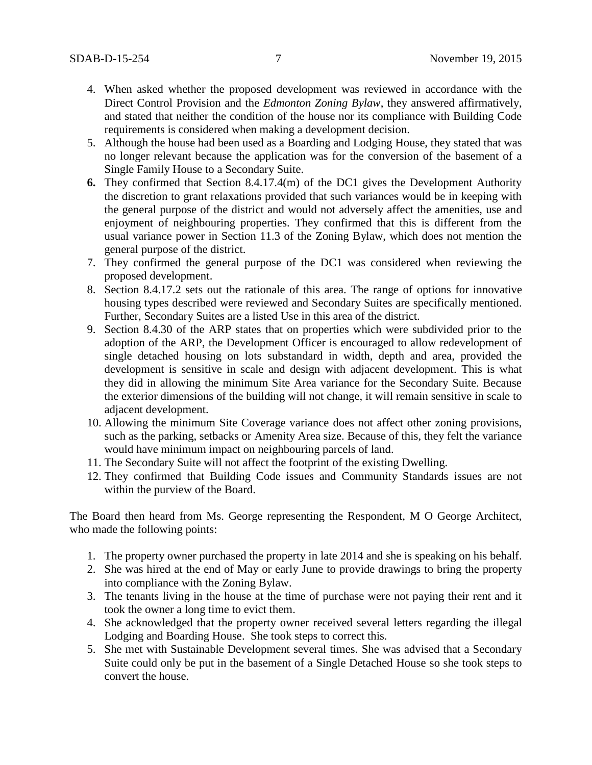- 4. When asked whether the proposed development was reviewed in accordance with the Direct Control Provision and the *Edmonton Zoning Bylaw*, they answered affirmatively, and stated that neither the condition of the house nor its compliance with Building Code requirements is considered when making a development decision.
- 5. Although the house had been used as a Boarding and Lodging House, they stated that was no longer relevant because the application was for the conversion of the basement of a Single Family House to a Secondary Suite.
- **6.** They confirmed that Section 8.4.17.4(m) of the DC1 gives the Development Authority the discretion to grant relaxations provided that such variances would be in keeping with the general purpose of the district and would not adversely affect the amenities, use and enjoyment of neighbouring properties. They confirmed that this is different from the usual variance power in Section 11.3 of the Zoning Bylaw, which does not mention the general purpose of the district.
- 7. They confirmed the general purpose of the DC1 was considered when reviewing the proposed development.
- 8. Section 8.4.17.2 sets out the rationale of this area. The range of options for innovative housing types described were reviewed and Secondary Suites are specifically mentioned. Further, Secondary Suites are a listed Use in this area of the district.
- 9. Section 8.4.30 of the ARP states that on properties which were subdivided prior to the adoption of the ARP, the Development Officer is encouraged to allow redevelopment of single detached housing on lots substandard in width, depth and area, provided the development is sensitive in scale and design with adjacent development. This is what they did in allowing the minimum Site Area variance for the Secondary Suite. Because the exterior dimensions of the building will not change, it will remain sensitive in scale to adjacent development.
- 10. Allowing the minimum Site Coverage variance does not affect other zoning provisions, such as the parking, setbacks or Amenity Area size. Because of this, they felt the variance would have minimum impact on neighbouring parcels of land.
- 11. The Secondary Suite will not affect the footprint of the existing Dwelling.
- 12. They confirmed that Building Code issues and Community Standards issues are not within the purview of the Board.

The Board then heard from Ms. George representing the Respondent, M O George Architect, who made the following points:

- 1. The property owner purchased the property in late 2014 and she is speaking on his behalf.
- 2. She was hired at the end of May or early June to provide drawings to bring the property into compliance with the Zoning Bylaw.
- 3. The tenants living in the house at the time of purchase were not paying their rent and it took the owner a long time to evict them.
- 4. She acknowledged that the property owner received several letters regarding the illegal Lodging and Boarding House. She took steps to correct this.
- 5. She met with Sustainable Development several times. She was advised that a Secondary Suite could only be put in the basement of a Single Detached House so she took steps to convert the house.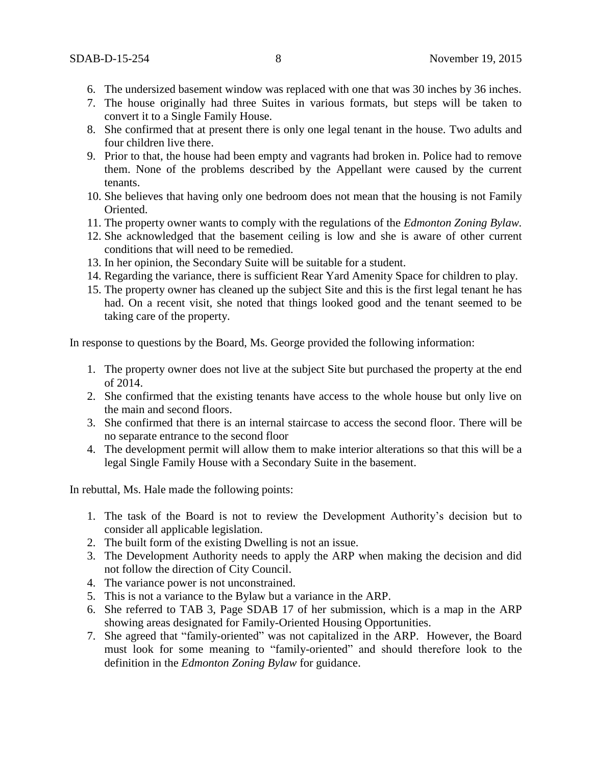- 6. The undersized basement window was replaced with one that was 30 inches by 36 inches.
- 7. The house originally had three Suites in various formats, but steps will be taken to convert it to a Single Family House.
- 8. She confirmed that at present there is only one legal tenant in the house. Two adults and four children live there.
- 9. Prior to that, the house had been empty and vagrants had broken in. Police had to remove them. None of the problems described by the Appellant were caused by the current tenants.
- 10. She believes that having only one bedroom does not mean that the housing is not Family Oriented.
- 11. The property owner wants to comply with the regulations of the *Edmonton Zoning Bylaw.*
- 12. She acknowledged that the basement ceiling is low and she is aware of other current conditions that will need to be remedied.
- 13. In her opinion, the Secondary Suite will be suitable for a student.
- 14. Regarding the variance, there is sufficient Rear Yard Amenity Space for children to play.
- 15. The property owner has cleaned up the subject Site and this is the first legal tenant he has had. On a recent visit, she noted that things looked good and the tenant seemed to be taking care of the property.

In response to questions by the Board, Ms. George provided the following information:

- 1. The property owner does not live at the subject Site but purchased the property at the end of 2014.
- 2. She confirmed that the existing tenants have access to the whole house but only live on the main and second floors.
- 3. She confirmed that there is an internal staircase to access the second floor. There will be no separate entrance to the second floor
- 4. The development permit will allow them to make interior alterations so that this will be a legal Single Family House with a Secondary Suite in the basement.

In rebuttal, Ms. Hale made the following points:

- 1. The task of the Board is not to review the Development Authority's decision but to consider all applicable legislation.
- 2. The built form of the existing Dwelling is not an issue.
- 3. The Development Authority needs to apply the ARP when making the decision and did not follow the direction of City Council.
- 4. The variance power is not unconstrained.
- 5. This is not a variance to the Bylaw but a variance in the ARP.
- 6. She referred to TAB 3, Page SDAB 17 of her submission, which is a map in the ARP showing areas designated for Family-Oriented Housing Opportunities.
- 7. She agreed that "family-oriented" was not capitalized in the ARP. However, the Board must look for some meaning to "family-oriented" and should therefore look to the definition in the *Edmonton Zoning Bylaw* for guidance.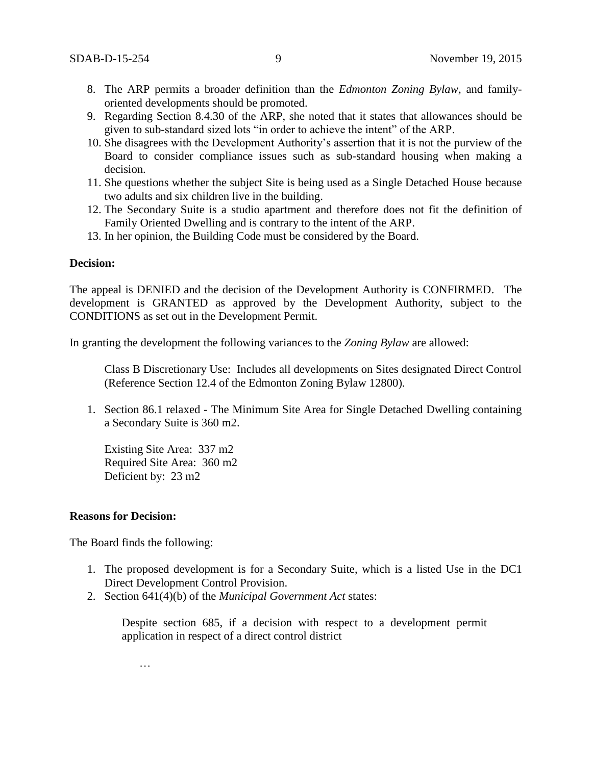- 8. The ARP permits a broader definition than the *Edmonton Zoning Bylaw,* and familyoriented developments should be promoted.
- 9. Regarding Section 8.4.30 of the ARP, she noted that it states that allowances should be given to sub-standard sized lots "in order to achieve the intent" of the ARP.
- 10. She disagrees with the Development Authority's assertion that it is not the purview of the Board to consider compliance issues such as sub-standard housing when making a decision.
- 11. She questions whether the subject Site is being used as a Single Detached House because two adults and six children live in the building.
- 12. The Secondary Suite is a studio apartment and therefore does not fit the definition of Family Oriented Dwelling and is contrary to the intent of the ARP.
- 13. In her opinion, the Building Code must be considered by the Board.

#### **Decision:**

The appeal is DENIED and the decision of the Development Authority is CONFIRMED. The development is GRANTED as approved by the Development Authority, subject to the CONDITIONS as set out in the Development Permit.

In granting the development the following variances to the *Zoning Bylaw* are allowed:

Class B Discretionary Use: Includes all developments on Sites designated Direct Control (Reference Section 12.4 of the Edmonton Zoning Bylaw 12800).

1. Section 86.1 relaxed - The Minimum Site Area for Single Detached Dwelling containing a Secondary Suite is 360 m2.

Existing Site Area: 337 m2 Required Site Area: 360 m2 Deficient by: 23 m2

#### **Reasons for Decision:**

The Board finds the following:

- 1. The proposed development is for a Secondary Suite, which is a listed Use in the DC1 Direct Development Control Provision.
- 2. Section 641(4)(b) of the *Municipal Government Act* states:

Despite section 685, if a decision with respect to a development permit application in respect of a direct control district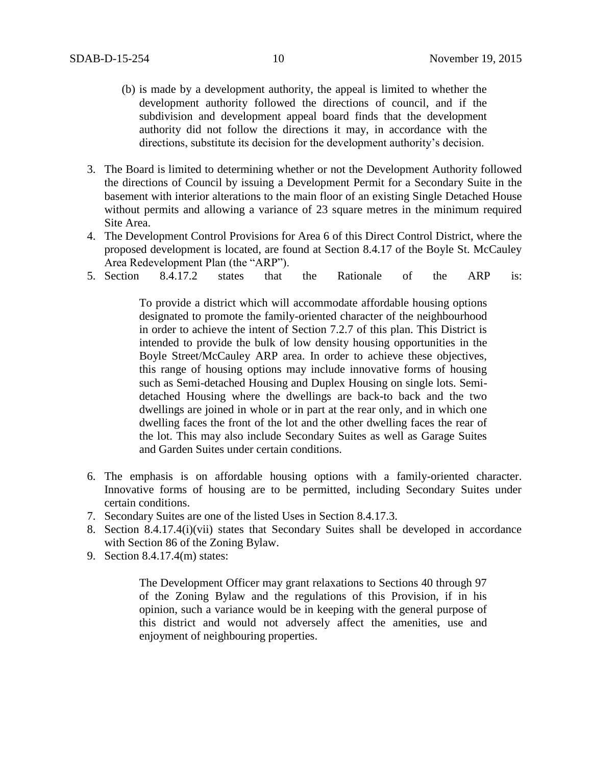- (b) is made by a development authority, the appeal is limited to whether the development authority followed the directions of council, and if the subdivision and development appeal board finds that the development authority did not follow the directions it may, in accordance with the directions, substitute its decision for the development authority's decision.
- 3. The Board is limited to determining whether or not the Development Authority followed the directions of Council by issuing a Development Permit for a Secondary Suite in the basement with interior alterations to the main floor of an existing Single Detached House without permits and allowing a variance of 23 square metres in the minimum required Site Area.
- 4. The Development Control Provisions for Area 6 of this Direct Control District, where the proposed development is located, are found at Section 8.4.17 of the Boyle St. McCauley Area Redevelopment Plan (the "ARP").
- 5. Section 8.4.17.2 states that the Rationale of the ARP is:

To provide a district which will accommodate affordable housing options designated to promote the family-oriented character of the neighbourhood in order to achieve the intent of Section 7.2.7 of this plan. This District is intended to provide the bulk of low density housing opportunities in the Boyle Street/McCauley ARP area. In order to achieve these objectives, this range of housing options may include innovative forms of housing such as Semi-detached Housing and Duplex Housing on single lots. Semidetached Housing where the dwellings are back-to back and the two dwellings are joined in whole or in part at the rear only, and in which one dwelling faces the front of the lot and the other dwelling faces the rear of the lot. This may also include Secondary Suites as well as Garage Suites and Garden Suites under certain conditions.

- 6. The emphasis is on affordable housing options with a family-oriented character. Innovative forms of housing are to be permitted, including Secondary Suites under certain conditions.
- 7. Secondary Suites are one of the listed Uses in Section 8.4.17.3.
- 8. Section 8.4.17.4(i)(vii) states that Secondary Suites shall be developed in accordance with Section 86 of the Zoning Bylaw.
- 9. Section 8.4.17.4(m) states:

The Development Officer may grant relaxations to Sections 40 through 97 of the Zoning Bylaw and the regulations of this Provision, if in his opinion, such a variance would be in keeping with the general purpose of this district and would not adversely affect the amenities, use and enjoyment of neighbouring properties.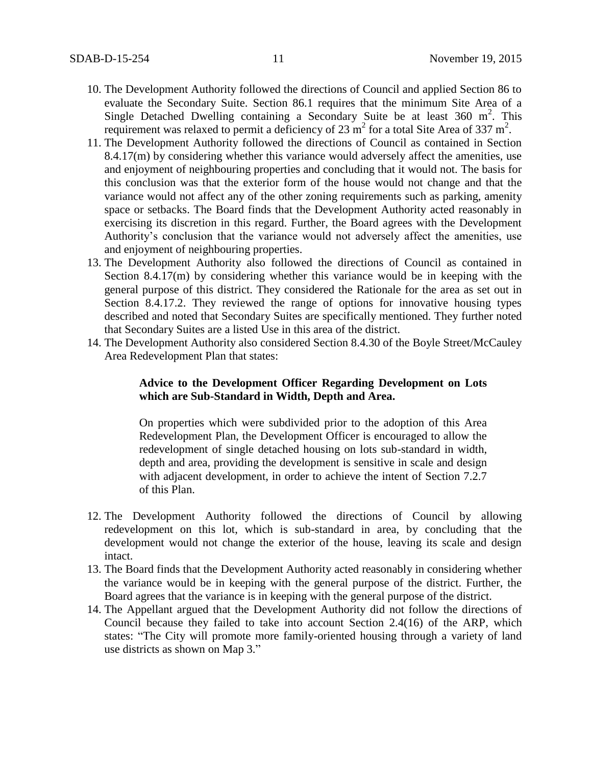- 10. The Development Authority followed the directions of Council and applied Section 86 to evaluate the Secondary Suite. Section 86.1 requires that the minimum Site Area of a Single Detached Dwelling containing a Secondary Suite be at least  $360 \text{ m}^2$ . This requirement was relaxed to permit a deficiency of 23  $\text{m}^2$  for a total Site Area of 337 m<sup>2</sup>.
- 11. The Development Authority followed the directions of Council as contained in Section  $8.4.17(m)$  by considering whether this variance would adversely affect the amenities, use and enjoyment of neighbouring properties and concluding that it would not. The basis for this conclusion was that the exterior form of the house would not change and that the variance would not affect any of the other zoning requirements such as parking, amenity space or setbacks. The Board finds that the Development Authority acted reasonably in exercising its discretion in this regard. Further, the Board agrees with the Development Authority's conclusion that the variance would not adversely affect the amenities, use and enjoyment of neighbouring properties.
- 13. The Development Authority also followed the directions of Council as contained in Section 8.4.17(m) by considering whether this variance would be in keeping with the general purpose of this district. They considered the Rationale for the area as set out in Section 8.4.17.2. They reviewed the range of options for innovative housing types described and noted that Secondary Suites are specifically mentioned. They further noted that Secondary Suites are a listed Use in this area of the district.
- 14. The Development Authority also considered Section 8.4.30 of the Boyle Street/McCauley Area Redevelopment Plan that states:

## **Advice to the Development Officer Regarding Development on Lots which are Sub-Standard in Width, Depth and Area.**

On properties which were subdivided prior to the adoption of this Area Redevelopment Plan, the Development Officer is encouraged to allow the redevelopment of single detached housing on lots sub-standard in width, depth and area, providing the development is sensitive in scale and design with adjacent development, in order to achieve the intent of Section 7.2.7 of this Plan.

- 12. The Development Authority followed the directions of Council by allowing redevelopment on this lot, which is sub-standard in area, by concluding that the development would not change the exterior of the house, leaving its scale and design intact.
- 13. The Board finds that the Development Authority acted reasonably in considering whether the variance would be in keeping with the general purpose of the district. Further, the Board agrees that the variance is in keeping with the general purpose of the district.
- 14. The Appellant argued that the Development Authority did not follow the directions of Council because they failed to take into account Section 2.4(16) of the ARP, which states: "The City will promote more family-oriented housing through a variety of land use districts as shown on Map 3."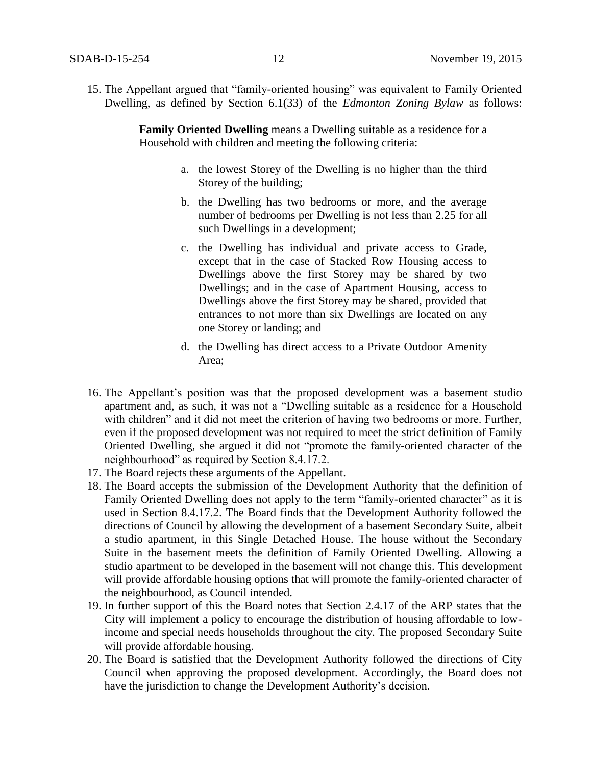15. The Appellant argued that "family-oriented housing" was equivalent to Family Oriented Dwelling, as defined by Section 6.1(33) of the *Edmonton Zoning Bylaw* as follows:

> **Family Oriented Dwelling** means a Dwelling suitable as a residence for a Household with children and meeting the following criteria:

- a. the lowest Storey of the Dwelling is no higher than the third Storey of the building;
- b. the Dwelling has two bedrooms or more, and the average number of bedrooms per Dwelling is not less than 2.25 for all such Dwellings in a development;
- c. the Dwelling has individual and private access to Grade, except that in the case of Stacked Row Housing access to Dwellings above the first Storey may be shared by two Dwellings; and in the case of Apartment Housing, access to Dwellings above the first Storey may be shared, provided that entrances to not more than six Dwellings are located on any one Storey or landing; and
- d. the Dwelling has direct access to a Private Outdoor Amenity Area;
- 16. The Appellant's position was that the proposed development was a basement studio apartment and, as such, it was not a "Dwelling suitable as a residence for a Household with children" and it did not meet the criterion of having two bedrooms or more. Further, even if the proposed development was not required to meet the strict definition of Family Oriented Dwelling, she argued it did not "promote the family-oriented character of the neighbourhood" as required by Section 8.4.17.2.
- 17. The Board rejects these arguments of the Appellant.
- 18. The Board accepts the submission of the Development Authority that the definition of Family Oriented Dwelling does not apply to the term "family-oriented character" as it is used in Section 8.4.17.2. The Board finds that the Development Authority followed the directions of Council by allowing the development of a basement Secondary Suite, albeit a studio apartment, in this Single Detached House. The house without the Secondary Suite in the basement meets the definition of Family Oriented Dwelling. Allowing a studio apartment to be developed in the basement will not change this. This development will provide affordable housing options that will promote the family-oriented character of the neighbourhood, as Council intended.
- 19. In further support of this the Board notes that Section 2.4.17 of the ARP states that the City will implement a policy to encourage the distribution of housing affordable to lowincome and special needs households throughout the city. The proposed Secondary Suite will provide affordable housing.
- 20. The Board is satisfied that the Development Authority followed the directions of City Council when approving the proposed development. Accordingly, the Board does not have the jurisdiction to change the Development Authority's decision.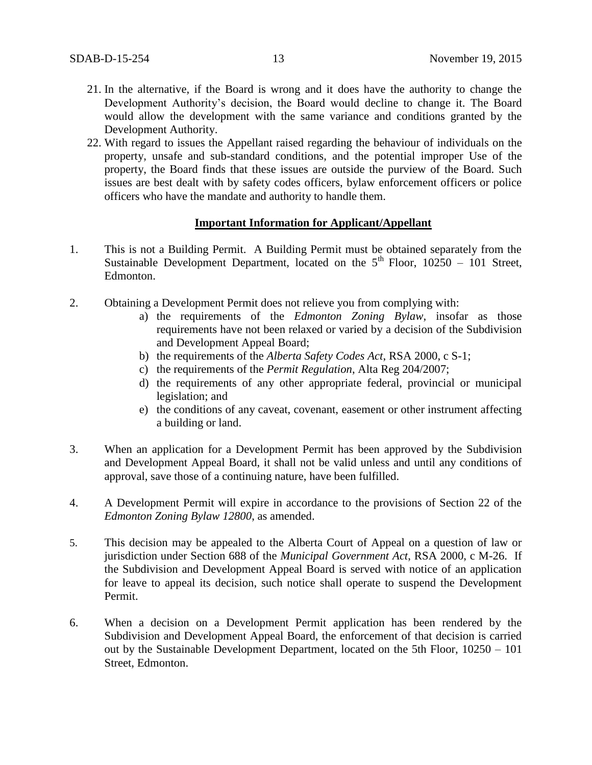- 21. In the alternative, if the Board is wrong and it does have the authority to change the Development Authority's decision, the Board would decline to change it. The Board would allow the development with the same variance and conditions granted by the Development Authority.
- 22. With regard to issues the Appellant raised regarding the behaviour of individuals on the property, unsafe and sub-standard conditions, and the potential improper Use of the property, the Board finds that these issues are outside the purview of the Board. Such issues are best dealt with by safety codes officers, bylaw enforcement officers or police officers who have the mandate and authority to handle them.

## **Important Information for Applicant/Appellant**

- 1. This is not a Building Permit. A Building Permit must be obtained separately from the Sustainable Development Department, located on the  $5<sup>th</sup>$  Floor, 10250 – 101 Street, Edmonton.
- 2. Obtaining a Development Permit does not relieve you from complying with:
	- a) the requirements of the *Edmonton Zoning Bylaw*, insofar as those requirements have not been relaxed or varied by a decision of the Subdivision and Development Appeal Board;
	- b) the requirements of the *Alberta Safety Codes Act*, RSA 2000, c S-1;
	- c) the requirements of the *Permit Regulation*, Alta Reg 204/2007;
	- d) the requirements of any other appropriate federal, provincial or municipal legislation; and
	- e) the conditions of any caveat, covenant, easement or other instrument affecting a building or land.
- 3. When an application for a Development Permit has been approved by the Subdivision and Development Appeal Board, it shall not be valid unless and until any conditions of approval, save those of a continuing nature, have been fulfilled.
- 4. A Development Permit will expire in accordance to the provisions of Section 22 of the *Edmonton Zoning Bylaw 12800*, as amended.
- 5. This decision may be appealed to the Alberta Court of Appeal on a question of law or jurisdiction under Section 688 of the *Municipal Government Act*, RSA 2000, c M-26. If the Subdivision and Development Appeal Board is served with notice of an application for leave to appeal its decision, such notice shall operate to suspend the Development Permit.
- 6. When a decision on a Development Permit application has been rendered by the Subdivision and Development Appeal Board, the enforcement of that decision is carried out by the Sustainable Development Department, located on the 5th Floor, 10250 – 101 Street, Edmonton.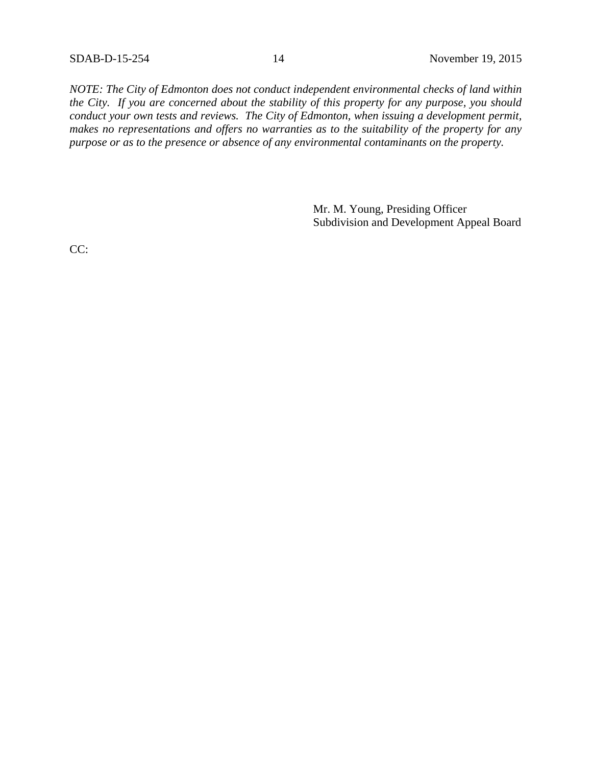*NOTE: The City of Edmonton does not conduct independent environmental checks of land within the City. If you are concerned about the stability of this property for any purpose, you should conduct your own tests and reviews. The City of Edmonton, when issuing a development permit, makes no representations and offers no warranties as to the suitability of the property for any purpose or as to the presence or absence of any environmental contaminants on the property.*

> Mr. M. Young, Presiding Officer Subdivision and Development Appeal Board

CC: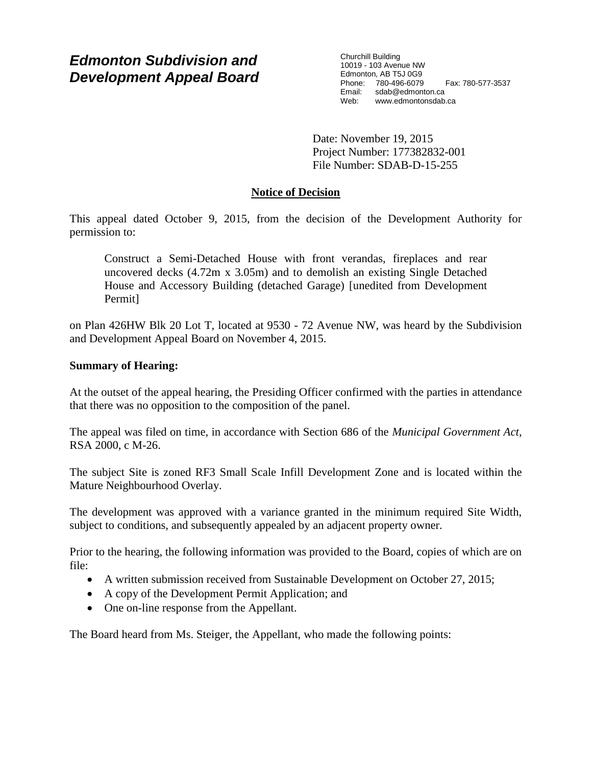# *Edmonton Subdivision and Development Appeal Board*

Churchill Building 10019 - 103 Avenue NW Edmonton, AB T5J 0G9 Phone: 780-496-6079 Fax: 780-577-3537 Email: sdab@edmonton.ca<br>Web: www.edmonton.ca Web: www.edmontonsdab.ca

Date: November 19, 2015 Project Number: 177382832-001 File Number: SDAB-D-15-255

# **Notice of Decision**

This appeal dated October 9, 2015, from the decision of the Development Authority for permission to:

Construct a Semi-Detached House with front verandas, fireplaces and rear uncovered decks (4.72m x 3.05m) and to demolish an existing Single Detached House and Accessory Building (detached Garage) [unedited from Development Permit]

on Plan 426HW Blk 20 Lot T, located at 9530 - 72 Avenue NW, was heard by the Subdivision and Development Appeal Board on November 4, 2015.

## **Summary of Hearing:**

At the outset of the appeal hearing, the Presiding Officer confirmed with the parties in attendance that there was no opposition to the composition of the panel.

The appeal was filed on time, in accordance with Section 686 of the *Municipal Government Act*, RSA 2000, c M-26.

The subject Site is zoned RF3 Small Scale Infill Development Zone and is located within the Mature Neighbourhood Overlay.

The development was approved with a variance granted in the minimum required Site Width, subject to conditions, and subsequently appealed by an adjacent property owner.

Prior to the hearing, the following information was provided to the Board, copies of which are on file:

- A written submission received from Sustainable Development on October 27, 2015;
- A copy of the Development Permit Application; and
- One on-line response from the Appellant.

The Board heard from Ms. Steiger, the Appellant, who made the following points: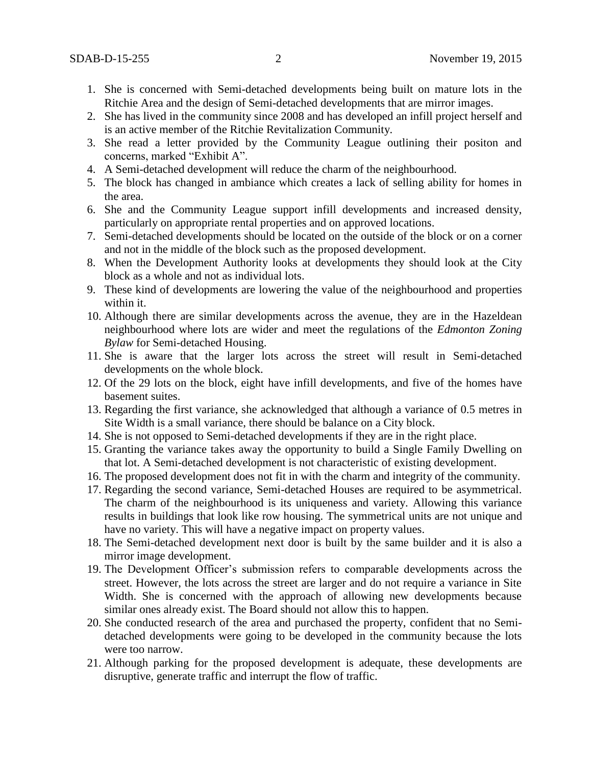- 1. She is concerned with Semi-detached developments being built on mature lots in the Ritchie Area and the design of Semi-detached developments that are mirror images.
- 2. She has lived in the community since 2008 and has developed an infill project herself and is an active member of the Ritchie Revitalization Community.
- 3. She read a letter provided by the Community League outlining their positon and concerns, marked "Exhibit A".
- 4. A Semi-detached development will reduce the charm of the neighbourhood.
- 5. The block has changed in ambiance which creates a lack of selling ability for homes in the area.
- 6. She and the Community League support infill developments and increased density, particularly on appropriate rental properties and on approved locations.
- 7. Semi-detached developments should be located on the outside of the block or on a corner and not in the middle of the block such as the proposed development.
- 8. When the Development Authority looks at developments they should look at the City block as a whole and not as individual lots.
- 9. These kind of developments are lowering the value of the neighbourhood and properties within it.
- 10. Although there are similar developments across the avenue, they are in the Hazeldean neighbourhood where lots are wider and meet the regulations of the *Edmonton Zoning Bylaw* for Semi-detached Housing.
- 11. She is aware that the larger lots across the street will result in Semi-detached developments on the whole block.
- 12. Of the 29 lots on the block, eight have infill developments, and five of the homes have basement suites.
- 13. Regarding the first variance, she acknowledged that although a variance of 0.5 metres in Site Width is a small variance, there should be balance on a City block.
- 14. She is not opposed to Semi-detached developments if they are in the right place.
- 15. Granting the variance takes away the opportunity to build a Single Family Dwelling on that lot. A Semi-detached development is not characteristic of existing development.
- 16. The proposed development does not fit in with the charm and integrity of the community.
- 17. Regarding the second variance, Semi-detached Houses are required to be asymmetrical. The charm of the neighbourhood is its uniqueness and variety. Allowing this variance results in buildings that look like row housing. The symmetrical units are not unique and have no variety. This will have a negative impact on property values.
- 18. The Semi-detached development next door is built by the same builder and it is also a mirror image development.
- 19. The Development Officer's submission refers to comparable developments across the street. However, the lots across the street are larger and do not require a variance in Site Width. She is concerned with the approach of allowing new developments because similar ones already exist. The Board should not allow this to happen.
- 20. She conducted research of the area and purchased the property, confident that no Semidetached developments were going to be developed in the community because the lots were too narrow.
- 21. Although parking for the proposed development is adequate, these developments are disruptive, generate traffic and interrupt the flow of traffic.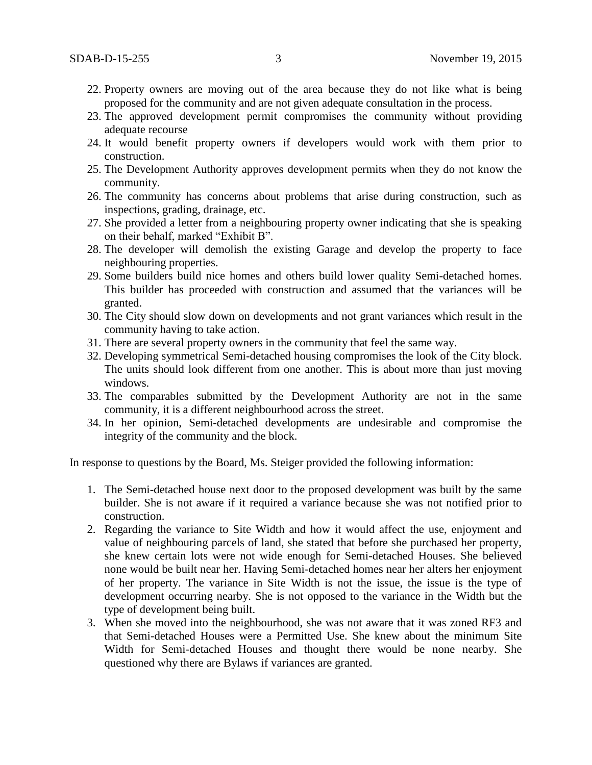- 22. Property owners are moving out of the area because they do not like what is being proposed for the community and are not given adequate consultation in the process.
- 23. The approved development permit compromises the community without providing adequate recourse
- 24. It would benefit property owners if developers would work with them prior to construction.
- 25. The Development Authority approves development permits when they do not know the community.
- 26. The community has concerns about problems that arise during construction, such as inspections, grading, drainage, etc.
- 27. She provided a letter from a neighbouring property owner indicating that she is speaking on their behalf, marked "Exhibit B".
- 28. The developer will demolish the existing Garage and develop the property to face neighbouring properties.
- 29. Some builders build nice homes and others build lower quality Semi-detached homes. This builder has proceeded with construction and assumed that the variances will be granted.
- 30. The City should slow down on developments and not grant variances which result in the community having to take action.
- 31. There are several property owners in the community that feel the same way.
- 32. Developing symmetrical Semi-detached housing compromises the look of the City block. The units should look different from one another. This is about more than just moving windows.
- 33. The comparables submitted by the Development Authority are not in the same community, it is a different neighbourhood across the street.
- 34. In her opinion, Semi-detached developments are undesirable and compromise the integrity of the community and the block.

In response to questions by the Board, Ms. Steiger provided the following information:

- 1. The Semi-detached house next door to the proposed development was built by the same builder. She is not aware if it required a variance because she was not notified prior to construction.
- 2. Regarding the variance to Site Width and how it would affect the use, enjoyment and value of neighbouring parcels of land, she stated that before she purchased her property, she knew certain lots were not wide enough for Semi-detached Houses. She believed none would be built near her. Having Semi-detached homes near her alters her enjoyment of her property. The variance in Site Width is not the issue, the issue is the type of development occurring nearby. She is not opposed to the variance in the Width but the type of development being built.
- 3. When she moved into the neighbourhood, she was not aware that it was zoned RF3 and that Semi-detached Houses were a Permitted Use. She knew about the minimum Site Width for Semi-detached Houses and thought there would be none nearby. She questioned why there are Bylaws if variances are granted.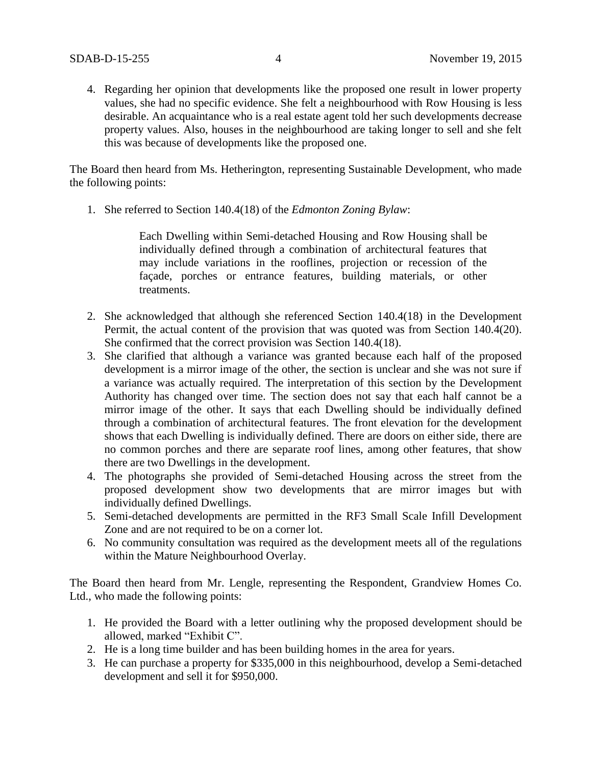4. Regarding her opinion that developments like the proposed one result in lower property values, she had no specific evidence. She felt a neighbourhood with Row Housing is less desirable. An acquaintance who is a real estate agent told her such developments decrease property values. Also, houses in the neighbourhood are taking longer to sell and she felt this was because of developments like the proposed one.

The Board then heard from Ms. Hetherington, representing Sustainable Development, who made the following points:

1. She referred to Section 140.4(18) of the *Edmonton Zoning Bylaw*:

Each Dwelling within Semi-detached Housing and Row Housing shall be individually defined through a combination of architectural features that may include variations in the rooflines, projection or recession of the façade, porches or entrance features, building materials, or other treatments.

- 2. She acknowledged that although she referenced Section 140.4(18) in the Development Permit, the actual content of the provision that was quoted was from Section 140.4(20). She confirmed that the correct provision was Section 140.4(18).
- 3. She clarified that although a variance was granted because each half of the proposed development is a mirror image of the other, the section is unclear and she was not sure if a variance was actually required. The interpretation of this section by the Development Authority has changed over time. The section does not say that each half cannot be a mirror image of the other. It says that each Dwelling should be individually defined through a combination of architectural features. The front elevation for the development shows that each Dwelling is individually defined. There are doors on either side, there are no common porches and there are separate roof lines, among other features, that show there are two Dwellings in the development.
- 4. The photographs she provided of Semi-detached Housing across the street from the proposed development show two developments that are mirror images but with individually defined Dwellings.
- 5. Semi-detached developments are permitted in the RF3 Small Scale Infill Development Zone and are not required to be on a corner lot.
- 6. No community consultation was required as the development meets all of the regulations within the Mature Neighbourhood Overlay.

The Board then heard from Mr. Lengle, representing the Respondent, Grandview Homes Co. Ltd., who made the following points:

- 1. He provided the Board with a letter outlining why the proposed development should be allowed, marked "Exhibit C".
- 2. He is a long time builder and has been building homes in the area for years.
- 3. He can purchase a property for \$335,000 in this neighbourhood, develop a Semi-detached development and sell it for \$950,000.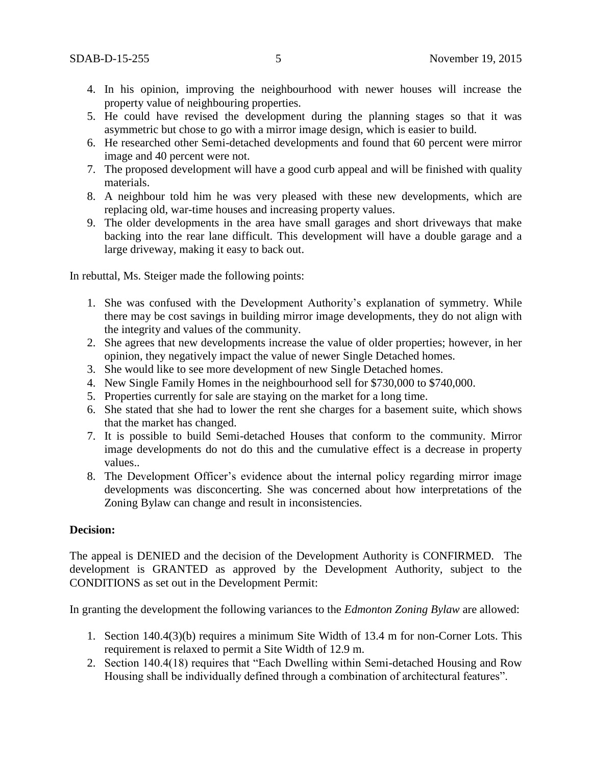- 4. In his opinion, improving the neighbourhood with newer houses will increase the property value of neighbouring properties.
- 5. He could have revised the development during the planning stages so that it was asymmetric but chose to go with a mirror image design, which is easier to build.
- 6. He researched other Semi-detached developments and found that 60 percent were mirror image and 40 percent were not.
- 7. The proposed development will have a good curb appeal and will be finished with quality materials.
- 8. A neighbour told him he was very pleased with these new developments, which are replacing old, war-time houses and increasing property values.
- 9. The older developments in the area have small garages and short driveways that make backing into the rear lane difficult. This development will have a double garage and a large driveway, making it easy to back out.

In rebuttal, Ms. Steiger made the following points:

- 1. She was confused with the Development Authority's explanation of symmetry. While there may be cost savings in building mirror image developments, they do not align with the integrity and values of the community.
- 2. She agrees that new developments increase the value of older properties; however, in her opinion, they negatively impact the value of newer Single Detached homes.
- 3. She would like to see more development of new Single Detached homes.
- 4. New Single Family Homes in the neighbourhood sell for \$730,000 to \$740,000.
- 5. Properties currently for sale are staying on the market for a long time.
- 6. She stated that she had to lower the rent she charges for a basement suite, which shows that the market has changed.
- 7. It is possible to build Semi-detached Houses that conform to the community. Mirror image developments do not do this and the cumulative effect is a decrease in property values..
- 8. The Development Officer's evidence about the internal policy regarding mirror image developments was disconcerting. She was concerned about how interpretations of the Zoning Bylaw can change and result in inconsistencies.

## **Decision:**

The appeal is DENIED and the decision of the Development Authority is CONFIRMED. The development is GRANTED as approved by the Development Authority, subject to the CONDITIONS as set out in the Development Permit:

In granting the development the following variances to the *Edmonton Zoning Bylaw* are allowed:

- 1. Section 140.4(3)(b) requires a minimum Site Width of 13.4 m for non-Corner Lots. This requirement is relaxed to permit a Site Width of 12.9 m.
- 2. Section 140.4(18) requires that "Each Dwelling within Semi-detached Housing and Row Housing shall be individually defined through a combination of architectural features".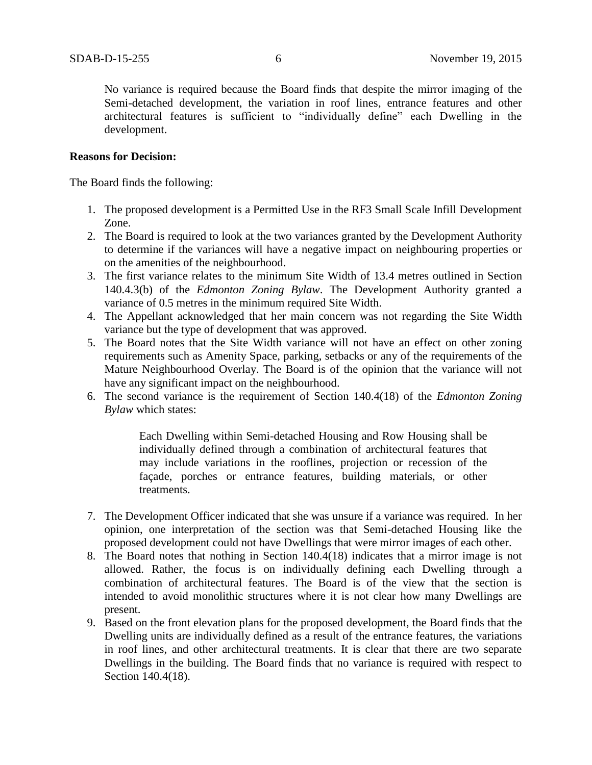No variance is required because the Board finds that despite the mirror imaging of the Semi-detached development, the variation in roof lines, entrance features and other architectural features is sufficient to "individually define" each Dwelling in the development.

### **Reasons for Decision:**

The Board finds the following:

- 1. The proposed development is a Permitted Use in the RF3 Small Scale Infill Development Zone.
- 2. The Board is required to look at the two variances granted by the Development Authority to determine if the variances will have a negative impact on neighbouring properties or on the amenities of the neighbourhood.
- 3. The first variance relates to the minimum Site Width of 13.4 metres outlined in Section 140.4.3(b) of the *Edmonton Zoning Bylaw*. The Development Authority granted a variance of 0.5 metres in the minimum required Site Width.
- 4. The Appellant acknowledged that her main concern was not regarding the Site Width variance but the type of development that was approved.
- 5. The Board notes that the Site Width variance will not have an effect on other zoning requirements such as Amenity Space, parking, setbacks or any of the requirements of the Mature Neighbourhood Overlay. The Board is of the opinion that the variance will not have any significant impact on the neighbourhood.
- 6. The second variance is the requirement of Section 140.4(18) of the *Edmonton Zoning Bylaw* which states:

Each Dwelling within Semi-detached Housing and Row Housing shall be individually defined through a combination of architectural features that may include variations in the rooflines, projection or recession of the façade, porches or entrance features, building materials, or other treatments.

- 7. The Development Officer indicated that she was unsure if a variance was required. In her opinion, one interpretation of the section was that Semi-detached Housing like the proposed development could not have Dwellings that were mirror images of each other.
- 8. The Board notes that nothing in Section 140.4(18) indicates that a mirror image is not allowed. Rather, the focus is on individually defining each Dwelling through a combination of architectural features. The Board is of the view that the section is intended to avoid monolithic structures where it is not clear how many Dwellings are present.
- 9. Based on the front elevation plans for the proposed development, the Board finds that the Dwelling units are individually defined as a result of the entrance features, the variations in roof lines, and other architectural treatments. It is clear that there are two separate Dwellings in the building. The Board finds that no variance is required with respect to Section 140.4(18).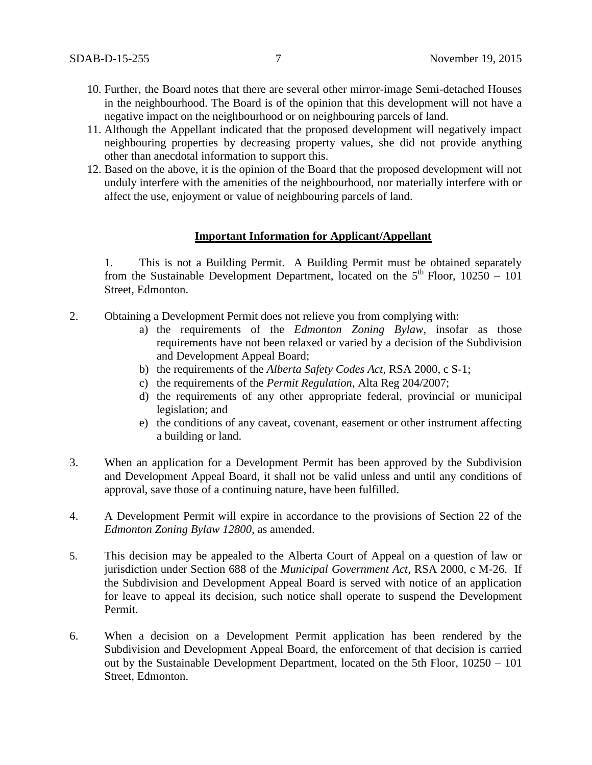- 10. Further, the Board notes that there are several other mirror-image Semi-detached Houses in the neighbourhood. The Board is of the opinion that this development will not have a negative impact on the neighbourhood or on neighbouring parcels of land.
- 11. Although the Appellant indicated that the proposed development will negatively impact neighbouring properties by decreasing property values, she did not provide anything other than anecdotal information to support this.
- 12. Based on the above, it is the opinion of the Board that the proposed development will not unduly interfere with the amenities of the neighbourhood, nor materially interfere with or affect the use, enjoyment or value of neighbouring parcels of land.

#### **Important Information for Applicant/Appellant**

1. This is not a Building Permit. A Building Permit must be obtained separately from the Sustainable Development Department, located on the  $5<sup>th</sup>$  Floor, 10250 – 101 Street, Edmonton.

- 2. Obtaining a Development Permit does not relieve you from complying with:
	- a) the requirements of the *Edmonton Zoning Bylaw*, insofar as those requirements have not been relaxed or varied by a decision of the Subdivision and Development Appeal Board;
	- b) the requirements of the *Alberta Safety Codes Act*, RSA 2000, c S-1;
	- c) the requirements of the *Permit Regulation*, Alta Reg 204/2007;
	- d) the requirements of any other appropriate federal, provincial or municipal legislation; and
	- e) the conditions of any caveat, covenant, easement or other instrument affecting a building or land.
- 3. When an application for a Development Permit has been approved by the Subdivision and Development Appeal Board, it shall not be valid unless and until any conditions of approval, save those of a continuing nature, have been fulfilled.
- 4. A Development Permit will expire in accordance to the provisions of Section 22 of the *Edmonton Zoning Bylaw 12800*, as amended.
- 5. This decision may be appealed to the Alberta Court of Appeal on a question of law or jurisdiction under Section 688 of the *Municipal Government Act*, RSA 2000, c M-26. If the Subdivision and Development Appeal Board is served with notice of an application for leave to appeal its decision, such notice shall operate to suspend the Development Permit.
- 6. When a decision on a Development Permit application has been rendered by the Subdivision and Development Appeal Board, the enforcement of that decision is carried out by the Sustainable Development Department, located on the 5th Floor, 10250 – 101 Street, Edmonton.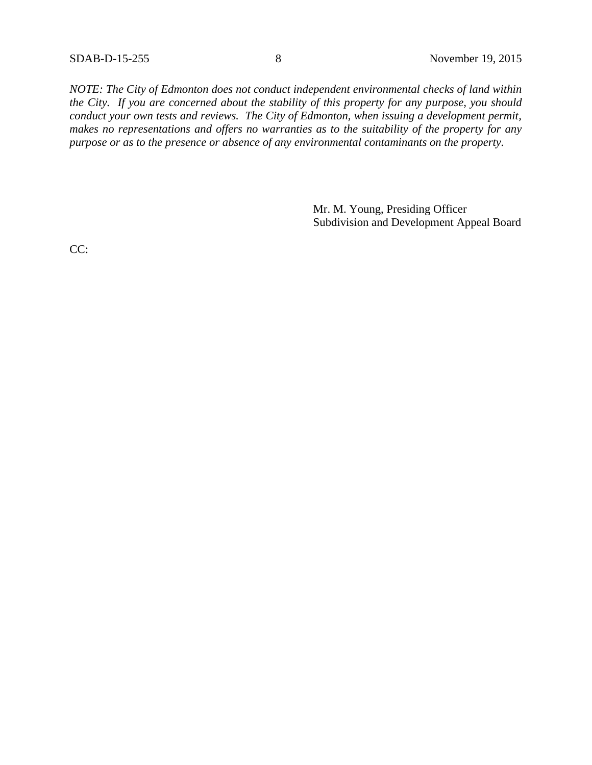*NOTE: The City of Edmonton does not conduct independent environmental checks of land within the City. If you are concerned about the stability of this property for any purpose, you should conduct your own tests and reviews. The City of Edmonton, when issuing a development permit, makes no representations and offers no warranties as to the suitability of the property for any purpose or as to the presence or absence of any environmental contaminants on the property.*

> Mr. M. Young, Presiding Officer Subdivision and Development Appeal Board

CC: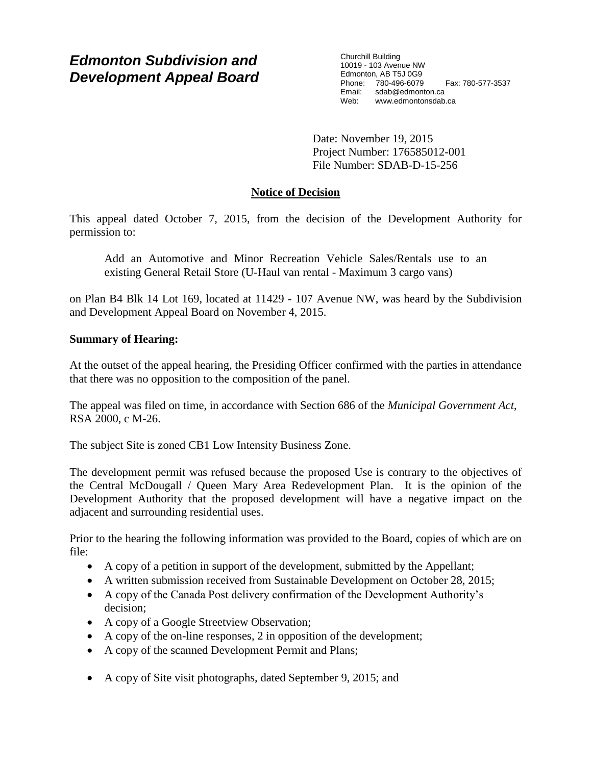# *Edmonton Subdivision and Development Appeal Board*

Churchill Building 10019 - 103 Avenue NW Edmonton, AB T5J 0G9 Phone: 780-496-6079 Fax: 780-577-3537 Email: sdab@edmonton.ca<br>Web: www.edmontonsdab www.edmontonsdab.ca

Date: November 19, 2015 Project Number: 176585012-001 File Number: SDAB-D-15-256

# **Notice of Decision**

This appeal dated October 7, 2015, from the decision of the Development Authority for permission to:

Add an Automotive and Minor Recreation Vehicle Sales/Rentals use to an existing General Retail Store (U-Haul van rental - Maximum 3 cargo vans)

on Plan B4 Blk 14 Lot 169, located at 11429 - 107 Avenue NW, was heard by the Subdivision and Development Appeal Board on November 4, 2015.

## **Summary of Hearing:**

At the outset of the appeal hearing, the Presiding Officer confirmed with the parties in attendance that there was no opposition to the composition of the panel.

The appeal was filed on time, in accordance with Section 686 of the *Municipal Government Act*, RSA 2000, c M-26.

The subject Site is zoned CB1 Low Intensity Business Zone.

The development permit was refused because the proposed Use is contrary to the objectives of the Central McDougall / Queen Mary Area Redevelopment Plan. It is the opinion of the Development Authority that the proposed development will have a negative impact on the adjacent and surrounding residential uses.

Prior to the hearing the following information was provided to the Board, copies of which are on file:

- A copy of a petition in support of the development, submitted by the Appellant;
- A written submission received from Sustainable Development on October 28, 2015;
- A copy of the Canada Post delivery confirmation of the Development Authority's decision;
- A copy of a Google Streetview Observation;
- $\bullet$  A copy of the on-line responses, 2 in opposition of the development;
- A copy of the scanned Development Permit and Plans;
- A copy of Site visit photographs, dated September 9, 2015; and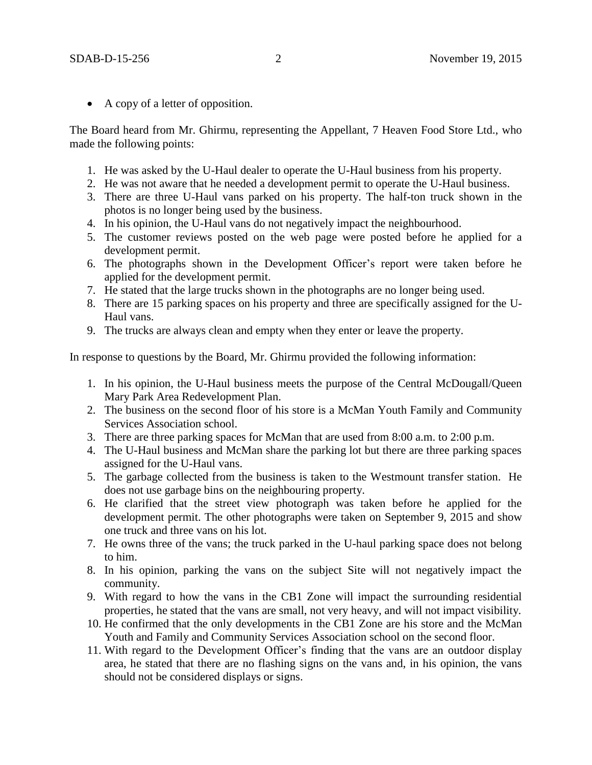A copy of a letter of opposition.

The Board heard from Mr. Ghirmu, representing the Appellant, 7 Heaven Food Store Ltd., who made the following points:

- 1. He was asked by the U-Haul dealer to operate the U-Haul business from his property.
- 2. He was not aware that he needed a development permit to operate the U-Haul business.
- 3. There are three U-Haul vans parked on his property. The half-ton truck shown in the photos is no longer being used by the business.
- 4. In his opinion, the U-Haul vans do not negatively impact the neighbourhood.
- 5. The customer reviews posted on the web page were posted before he applied for a development permit.
- 6. The photographs shown in the Development Officer's report were taken before he applied for the development permit.
- 7. He stated that the large trucks shown in the photographs are no longer being used.
- 8. There are 15 parking spaces on his property and three are specifically assigned for the U-Haul vans.
- 9. The trucks are always clean and empty when they enter or leave the property.

In response to questions by the Board, Mr. Ghirmu provided the following information:

- 1. In his opinion, the U-Haul business meets the purpose of the Central McDougall/Queen Mary Park Area Redevelopment Plan.
- 2. The business on the second floor of his store is a McMan Youth Family and Community Services Association school.
- 3. There are three parking spaces for McMan that are used from 8:00 a.m. to 2:00 p.m.
- 4. The U-Haul business and McMan share the parking lot but there are three parking spaces assigned for the U-Haul vans.
- 5. The garbage collected from the business is taken to the Westmount transfer station. He does not use garbage bins on the neighbouring property.
- 6. He clarified that the street view photograph was taken before he applied for the development permit. The other photographs were taken on September 9, 2015 and show one truck and three vans on his lot.
- 7. He owns three of the vans; the truck parked in the U-haul parking space does not belong to him.
- 8. In his opinion, parking the vans on the subject Site will not negatively impact the community.
- 9. With regard to how the vans in the CB1 Zone will impact the surrounding residential properties, he stated that the vans are small, not very heavy, and will not impact visibility.
- 10. He confirmed that the only developments in the CB1 Zone are his store and the McMan Youth and Family and Community Services Association school on the second floor.
- 11. With regard to the Development Officer's finding that the vans are an outdoor display area, he stated that there are no flashing signs on the vans and, in his opinion, the vans should not be considered displays or signs.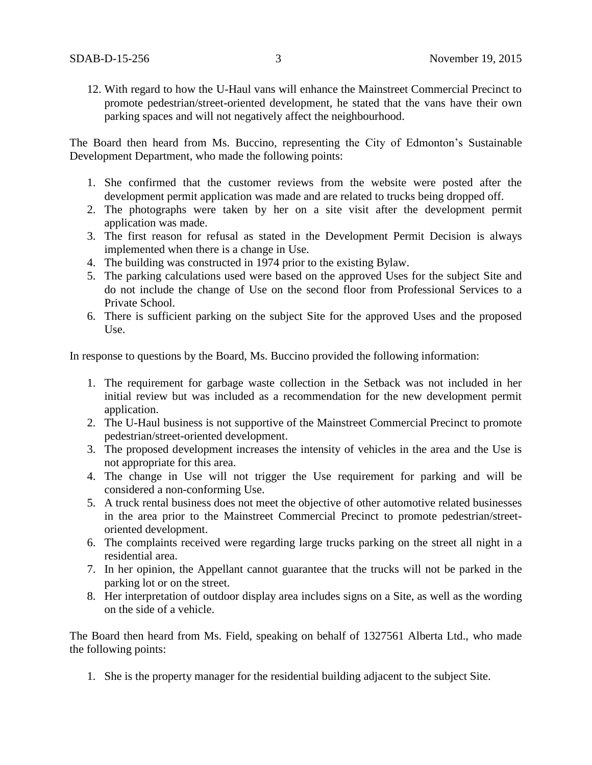12. With regard to how the U-Haul vans will enhance the Mainstreet Commercial Precinct to promote pedestrian/street-oriented development, he stated that the vans have their own parking spaces and will not negatively affect the neighbourhood.

The Board then heard from Ms. Buccino, representing the City of Edmonton's Sustainable Development Department, who made the following points:

- 1. She confirmed that the customer reviews from the website were posted after the development permit application was made and are related to trucks being dropped off.
- 2. The photographs were taken by her on a site visit after the development permit application was made.
- 3. The first reason for refusal as stated in the Development Permit Decision is always implemented when there is a change in Use.
- 4. The building was constructed in 1974 prior to the existing Bylaw.
- 5. The parking calculations used were based on the approved Uses for the subject Site and do not include the change of Use on the second floor from Professional Services to a Private School.
- 6. There is sufficient parking on the subject Site for the approved Uses and the proposed Use.

In response to questions by the Board, Ms. Buccino provided the following information:

- 1. The requirement for garbage waste collection in the Setback was not included in her initial review but was included as a recommendation for the new development permit application.
- 2. The U-Haul business is not supportive of the Mainstreet Commercial Precinct to promote pedestrian/street-oriented development.
- 3. The proposed development increases the intensity of vehicles in the area and the Use is not appropriate for this area.
- 4. The change in Use will not trigger the Use requirement for parking and will be considered a non-conforming Use.
- 5. A truck rental business does not meet the objective of other automotive related businesses in the area prior to the Mainstreet Commercial Precinct to promote pedestrian/streetoriented development.
- 6. The complaints received were regarding large trucks parking on the street all night in a residential area.
- 7. In her opinion, the Appellant cannot guarantee that the trucks will not be parked in the parking lot or on the street.
- 8. Her interpretation of outdoor display area includes signs on a Site, as well as the wording on the side of a vehicle.

The Board then heard from Ms. Field, speaking on behalf of 1327561 Alberta Ltd., who made the following points:

1. She is the property manager for the residential building adjacent to the subject Site.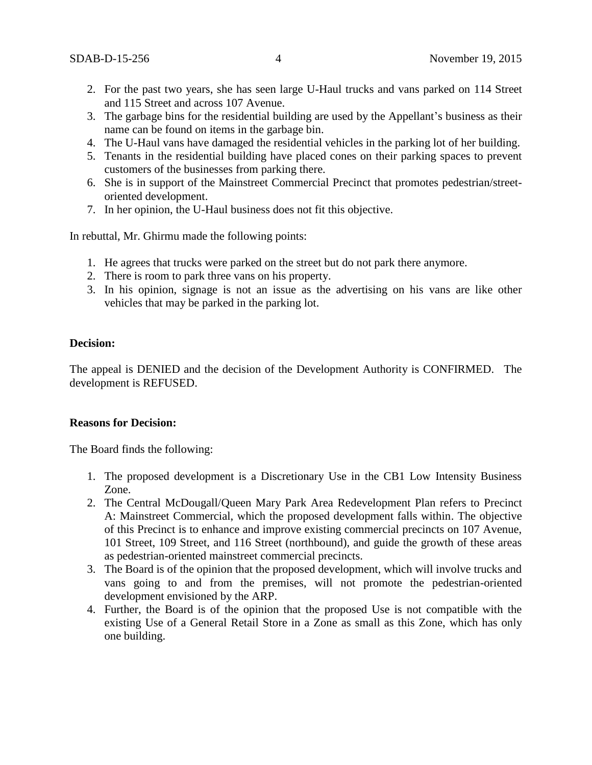- 2. For the past two years, she has seen large U-Haul trucks and vans parked on 114 Street and 115 Street and across 107 Avenue.
- 3. The garbage bins for the residential building are used by the Appellant's business as their name can be found on items in the garbage bin.
- 4. The U-Haul vans have damaged the residential vehicles in the parking lot of her building.
- 5. Tenants in the residential building have placed cones on their parking spaces to prevent customers of the businesses from parking there.
- 6. She is in support of the Mainstreet Commercial Precinct that promotes pedestrian/streetoriented development.
- 7. In her opinion, the U-Haul business does not fit this objective.

In rebuttal, Mr. Ghirmu made the following points:

- 1. He agrees that trucks were parked on the street but do not park there anymore.
- 2. There is room to park three vans on his property.
- 3. In his opinion, signage is not an issue as the advertising on his vans are like other vehicles that may be parked in the parking lot.

## **Decision:**

The appeal is DENIED and the decision of the Development Authority is CONFIRMED. The development is REFUSED.

## **Reasons for Decision:**

The Board finds the following:

- 1. The proposed development is a Discretionary Use in the CB1 Low Intensity Business Zone.
- 2. The Central McDougall/Queen Mary Park Area Redevelopment Plan refers to Precinct A: Mainstreet Commercial, which the proposed development falls within. The objective of this Precinct is to enhance and improve existing commercial precincts on 107 Avenue, 101 Street, 109 Street, and 116 Street (northbound), and guide the growth of these areas as pedestrian-oriented mainstreet commercial precincts.
- 3. The Board is of the opinion that the proposed development, which will involve trucks and vans going to and from the premises, will not promote the pedestrian-oriented development envisioned by the ARP.
- 4. Further, the Board is of the opinion that the proposed Use is not compatible with the existing Use of a General Retail Store in a Zone as small as this Zone, which has only one building.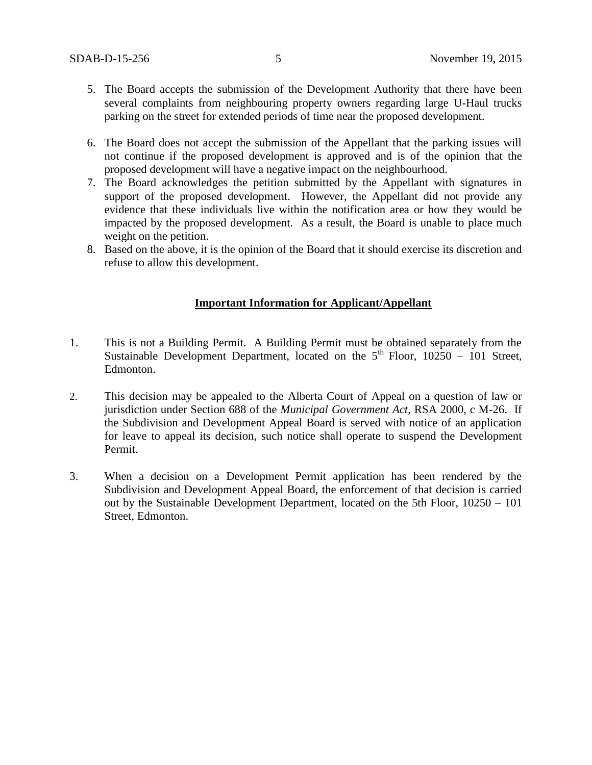- 5. The Board accepts the submission of the Development Authority that there have been several complaints from neighbouring property owners regarding large U-Haul trucks parking on the street for extended periods of time near the proposed development.
- 6. The Board does not accept the submission of the Appellant that the parking issues will not continue if the proposed development is approved and is of the opinion that the proposed development will have a negative impact on the neighbourhood.
- 7. The Board acknowledges the petition submitted by the Appellant with signatures in support of the proposed development. However, the Appellant did not provide any evidence that these individuals live within the notification area or how they would be impacted by the proposed development. As a result, the Board is unable to place much weight on the petition.
- 8. Based on the above, it is the opinion of the Board that it should exercise its discretion and refuse to allow this development.

#### **Important Information for Applicant/Appellant**

- 1. This is not a Building Permit. A Building Permit must be obtained separately from the Sustainable Development Department, located on the  $5<sup>th</sup>$  Floor, 10250 – 101 Street, Edmonton.
- 2. This decision may be appealed to the Alberta Court of Appeal on a question of law or jurisdiction under Section 688 of the *Municipal Government Act*, RSA 2000, c M-26. If the Subdivision and Development Appeal Board is served with notice of an application for leave to appeal its decision, such notice shall operate to suspend the Development Permit.
- 3. When a decision on a Development Permit application has been rendered by the Subdivision and Development Appeal Board, the enforcement of that decision is carried out by the Sustainable Development Department, located on the 5th Floor, 10250 – 101 Street, Edmonton.